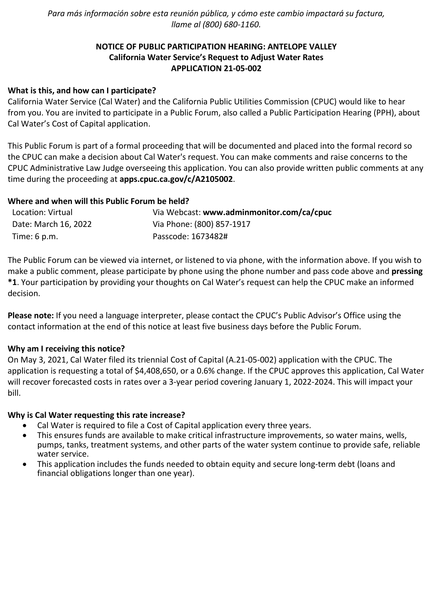*Para más información sobre esta reunión pública, y cómo este cambio impactará su factura, llame al (800) 680-1160.*

# **NOTICE OF PUBLIC PARTICIPATION HEARING: ANTELOPE VALLEY California Water Service's Request to Adjust Water Rates APPLICATION 21-05-002**

### **What is this, and how can I participate?**

California Water Service (Cal Water) and the California Public Utilities Commission (CPUC) would like to hear from you. You are invited to participate in a Public Forum, also called a Public Participation Hearing (PPH), about Cal Water's Cost of Capital application.

This Public Forum is part of a formal proceeding that will be documented and placed into the formal record so the CPUC can make a decision about Cal Water's request. You can make comments and raise concerns to the CPUC Administrative Law Judge overseeing this application. You can also provide written public comments at any time during the proceeding at **[apps.cpuc.ca.gov/c/A2105002](https://apps.cpuc.ca.gov/apex/f?p=401:65:0::NO:RP,57,RIR:P5_PROCEEDING_SELECT:A2105002)**.

### **Where and when will this Public Forum be held?**

| Location: Virtual      | Via Webcast: www.adminmonitor.com/ca/cpuc |
|------------------------|-------------------------------------------|
| Date: March 16, 2022   | Via Phone: (800) 857-1917                 |
| Time: $6 \text{ p.m.}$ | Passcode: 1673482#                        |

The Public Forum can be viewed via internet, or listened to via phone, with the information above. If you wish to make a public comment, please participate by phone using the phone number and pass code above and **pressing \*1**. Your participation by providing your thoughts on Cal Water's request can help the CPUC make an informed decision.

**Please note:** If you need a language interpreter, please contact the CPUC's Public Advisor's Office using the contact information at the end of this notice at least five business days before the Public Forum.

#### **Why am I receiving this notice?**

On May 3, 2021, Cal Water filed its triennial Cost of Capital (A.21-05-002) application with the CPUC. The application is requesting a total of \$4,408,650, or a 0.6% change. If the CPUC approves this application, Cal Water will recover forecasted costs in rates over a 3-year period covering January 1, 2022-2024. This will impact your bill.

#### **Why is Cal Water requesting this rate increase?**

- Cal Water is required to file a Cost of Capital application every three years.
- This ensures funds are available to make critical infrastructure improvements, so water mains, wells, pumps, tanks, treatment systems, and other parts of the water system continue to provide safe, reliable water service.
- This application includes the funds needed to obtain equity and secure long-term debt (loans and financial obligations longer than one year).